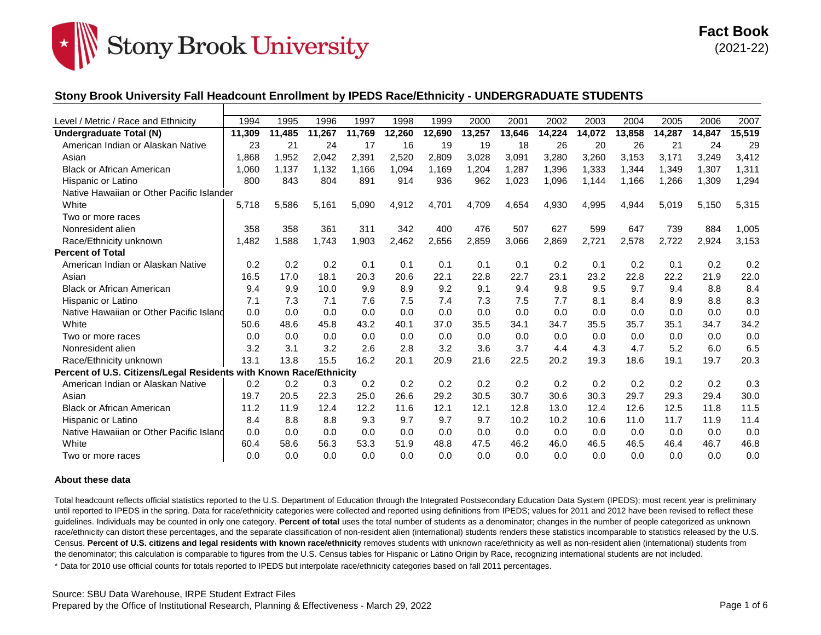

### **Stony Brook University Fall Headcount Enrollment by IPEDS Race/Ethnicity - UNDERGRADUATE STUDENTS**

| Level / Metric / Race and Ethnicity                                | 1994   | 1995   | 1996   | 1997   | 1998   | 1999   | 2000   | 2001   | 2002   | 2003   | 2004   | 2005   | 2006   | 2007   |
|--------------------------------------------------------------------|--------|--------|--------|--------|--------|--------|--------|--------|--------|--------|--------|--------|--------|--------|
| Undergraduate Total (N)                                            | 11,309 | 11.485 | 11.267 | 11,769 | 12,260 | 12,690 | 13,257 | 13,646 | 14,224 | 14,072 | 13,858 | 14,287 | 14,847 | 15,519 |
| American Indian or Alaskan Native                                  | 23     | 21     | 24     | 17     | 16     | 19     | 19     | 18     | 26     | 20     | 26     | 21     | 24     | 29     |
| Asian                                                              | 1.868  | 1,952  | 2,042  | 2,391  | 2,520  | 2,809  | 3,028  | 3,091  | 3,280  | 3,260  | 3,153  | 3.171  | 3,249  | 3,412  |
| <b>Black or African American</b>                                   | 1.060  | 1.137  | 1.132  | 1,166  | 1.094  | 1.169  | 1,204  | 1.287  | 1,396  | 1,333  | 1,344  | 1,349  | 1,307  | 1,311  |
| Hispanic or Latino                                                 | 800    | 843    | 804    | 891    | 914    | 936    | 962    | 1,023  | 1,096  | 1,144  | 1,166  | 1,266  | 1,309  | 1,294  |
| Native Hawaiian or Other Pacific Islander                          |        |        |        |        |        |        |        |        |        |        |        |        |        |        |
| White                                                              | 5.718  | 5,586  | 5,161  | 5,090  | 4,912  | 4,701  | 4,709  | 4,654  | 4,930  | 4,995  | 4,944  | 5,019  | 5,150  | 5,315  |
| Two or more races                                                  |        |        |        |        |        |        |        |        |        |        |        |        |        |        |
| Nonresident alien                                                  | 358    | 358    | 361    | 311    | 342    | 400    | 476    | 507    | 627    | 599    | 647    | 739    | 884    | 1,005  |
| Race/Ethnicity unknown                                             | 1,482  | 1,588  | 1.743  | 1,903  | 2,462  | 2,656  | 2,859  | 3,066  | 2,869  | 2,721  | 2,578  | 2.722  | 2,924  | 3,153  |
| <b>Percent of Total</b>                                            |        |        |        |        |        |        |        |        |        |        |        |        |        |        |
| American Indian or Alaskan Native                                  | 0.2    | 0.2    | 0.2    | 0.1    | 0.1    | 0.1    | 0.1    | 0.1    | 0.2    | 0.1    | 0.2    | 0.1    | 0.2    | 0.2    |
| Asian                                                              | 16.5   | 17.0   | 18.1   | 20.3   | 20.6   | 22.1   | 22.8   | 22.7   | 23.1   | 23.2   | 22.8   | 22.2   | 21.9   | 22.0   |
| <b>Black or African American</b>                                   | 9.4    | 9.9    | 10.0   | 9.9    | 8.9    | 9.2    | 9.1    | 9.4    | 9.8    | 9.5    | 9.7    | 9.4    | 8.8    | 8.4    |
| Hispanic or Latino                                                 | 7.1    | 7.3    | 7.1    | 7.6    | 7.5    | 7.4    | 7.3    | 7.5    | 7.7    | 8.1    | 8.4    | 8.9    | 8.8    | 8.3    |
| Native Hawaiian or Other Pacific Island                            | 0.0    | 0.0    | 0.0    | 0.0    | 0.0    | 0.0    | 0.0    | 0.0    | 0.0    | 0.0    | 0.0    | 0.0    | 0.0    | 0.0    |
| White                                                              | 50.6   | 48.6   | 45.8   | 43.2   | 40.1   | 37.0   | 35.5   | 34.1   | 34.7   | 35.5   | 35.7   | 35.1   | 34.7   | 34.2   |
| Two or more races                                                  | 0.0    | 0.0    | 0.0    | 0.0    | 0.0    | 0.0    | 0.0    | 0.0    | 0.0    | 0.0    | 0.0    | 0.0    | 0.0    | 0.0    |
| Nonresident alien                                                  | 3.2    | 3.1    | 3.2    | 2.6    | 2.8    | 3.2    | 3.6    | 3.7    | 4.4    | 4.3    | 4.7    | 5.2    | 6.0    | 6.5    |
| Race/Ethnicity unknown                                             | 13.1   | 13.8   | 15.5   | 16.2   | 20.1   | 20.9   | 21.6   | 22.5   | 20.2   | 19.3   | 18.6   | 19.1   | 19.7   | 20.3   |
| Percent of U.S. Citizens/Legal Residents with Known Race/Ethnicity |        |        |        |        |        |        |        |        |        |        |        |        |        |        |
| American Indian or Alaskan Native                                  | 0.2    | 0.2    | 0.3    | 0.2    | 0.2    | 0.2    | 0.2    | 0.2    | 0.2    | 0.2    | 0.2    | 0.2    | 0.2    | 0.3    |
| Asian                                                              | 19.7   | 20.5   | 22.3   | 25.0   | 26.6   | 29.2   | 30.5   | 30.7   | 30.6   | 30.3   | 29.7   | 29.3   | 29.4   | 30.0   |
| <b>Black or African American</b>                                   | 11.2   | 11.9   | 12.4   | 12.2   | 11.6   | 12.1   | 12.1   | 12.8   | 13.0   | 12.4   | 12.6   | 12.5   | 11.8   | 11.5   |
| Hispanic or Latino                                                 | 8.4    | 8.8    | 8.8    | 9.3    | 9.7    | 9.7    | 9.7    | 10.2   | 10.2   | 10.6   | 11.0   | 11.7   | 11.9   | 11.4   |
| Native Hawaiian or Other Pacific Island                            | 0.0    | 0.0    | 0.0    | 0.0    | 0.0    | 0.0    | 0.0    | 0.0    | 0.0    | 0.0    | 0.0    | 0.0    | 0.0    | 0.0    |
| White                                                              | 60.4   | 58.6   | 56.3   | 53.3   | 51.9   | 48.8   | 47.5   | 46.2   | 46.0   | 46.5   | 46.5   | 46.4   | 46.7   | 46.8   |
| Two or more races                                                  | 0.0    | 0.0    | 0.0    | 0.0    | 0.0    | 0.0    | 0.0    | 0.0    | 0.0    | 0.0    | 0.0    | 0.0    | 0.0    | 0.0    |

#### **About these data**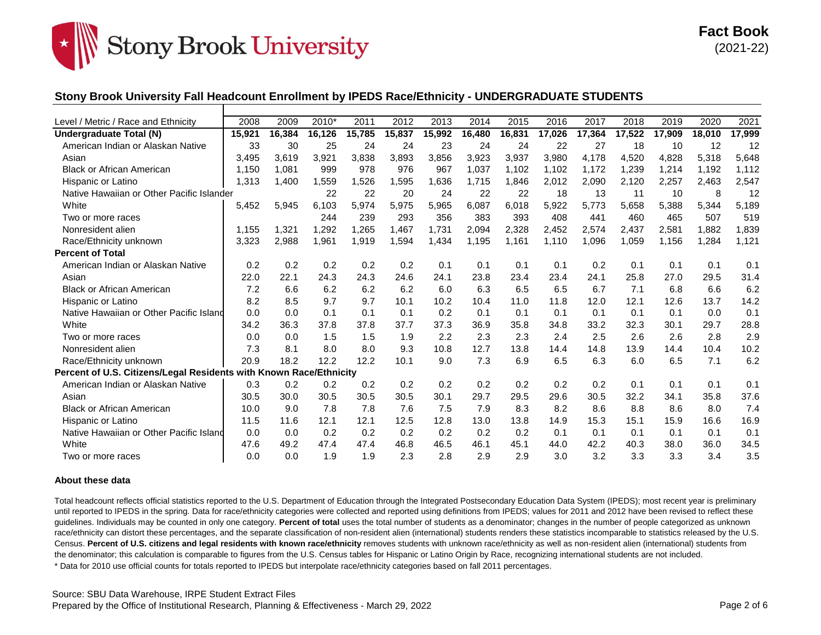

## **Stony Brook University Fall Headcount Enrollment by IPEDS Race/Ethnicity - UNDERGRADUATE STUDENTS**

| Level / Metric / Race and Ethnicity                                | 2008   | 2009   | 2010*  | 2011   | 2012   | 2013   | 2014   | 2015   | 2016   | 2017   | 2018   | 2019   | 2020   | 2021   |
|--------------------------------------------------------------------|--------|--------|--------|--------|--------|--------|--------|--------|--------|--------|--------|--------|--------|--------|
| Undergraduate Total (N)                                            | 15.921 | 16.384 | 16,126 | 15,785 | 15,837 | 15,992 | 16,480 | 16,831 | 17,026 | 17,364 | 17,522 | 17,909 | 18.010 | 17,999 |
| American Indian or Alaskan Native                                  | 33     | 30     | 25     | 24     | 24     | 23     | 24     | 24     | 22     | 27     | 18     | 10     | 12     | 12     |
| Asian                                                              | 3,495  | 3,619  | 3,921  | 3,838  | 3,893  | 3,856  | 3,923  | 3,937  | 3,980  | 4,178  | 4,520  | 4,828  | 5,318  | 5,648  |
| <b>Black or African American</b>                                   | 1,150  | 1,081  | 999    | 978    | 976    | 967    | 1,037  | 1,102  | 1,102  | 1,172  | 1,239  | 1,214  | 1,192  | 1,112  |
| Hispanic or Latino                                                 | 1,313  | 1,400  | 1,559  | 1,526  | 1,595  | 1,636  | 1,715  | 1,846  | 2,012  | 2,090  | 2,120  | 2,257  | 2,463  | 2,547  |
| Native Hawaiian or Other Pacific Islander                          |        |        | 22     | 22     | 20     | 24     | 22     | 22     | 18     | 13     | 11     | 10     | 8      | 12     |
| White                                                              | 5,452  | 5,945  | 6,103  | 5,974  | 5,975  | 5,965  | 6,087  | 6,018  | 5,922  | 5,773  | 5,658  | 5,388  | 5,344  | 5,189  |
| Two or more races                                                  |        |        | 244    | 239    | 293    | 356    | 383    | 393    | 408    | 441    | 460    | 465    | 507    | 519    |
| Nonresident alien                                                  | 1.155  | 1,321  | 1,292  | 1,265  | 1,467  | 1,731  | 2,094  | 2,328  | 2,452  | 2,574  | 2,437  | 2,581  | 1,882  | 1,839  |
| Race/Ethnicity unknown                                             | 3,323  | 2,988  | 1,961  | 1,919  | 1,594  | 1,434  | 1,195  | 1,161  | 1,110  | 1,096  | 1,059  | 1,156  | 1,284  | 1,121  |
| <b>Percent of Total</b>                                            |        |        |        |        |        |        |        |        |        |        |        |        |        |        |
| American Indian or Alaskan Native                                  | 0.2    | 0.2    | 0.2    | 0.2    | 0.2    | 0.1    | 0.1    | 0.1    | 0.1    | 0.2    | 0.1    | 0.1    | 0.1    | 0.1    |
| Asian                                                              | 22.0   | 22.1   | 24.3   | 24.3   | 24.6   | 24.1   | 23.8   | 23.4   | 23.4   | 24.1   | 25.8   | 27.0   | 29.5   | 31.4   |
| <b>Black or African American</b>                                   | 7.2    | 6.6    | 6.2    | 6.2    | 6.2    | 6.0    | 6.3    | 6.5    | 6.5    | 6.7    | 7.1    | 6.8    | 6.6    | 6.2    |
| Hispanic or Latino                                                 | 8.2    | 8.5    | 9.7    | 9.7    | 10.1   | 10.2   | 10.4   | 11.0   | 11.8   | 12.0   | 12.1   | 12.6   | 13.7   | 14.2   |
| Native Hawaiian or Other Pacific Island                            | 0.0    | 0.0    | 0.1    | 0.1    | 0.1    | 0.2    | 0.1    | 0.1    | 0.1    | 0.1    | 0.1    | 0.1    | 0.0    | 0.1    |
| White                                                              | 34.2   | 36.3   | 37.8   | 37.8   | 37.7   | 37.3   | 36.9   | 35.8   | 34.8   | 33.2   | 32.3   | 30.1   | 29.7   | 28.8   |
| Two or more races                                                  | 0.0    | 0.0    | 1.5    | 1.5    | 1.9    | 2.2    | 2.3    | 2.3    | 2.4    | 2.5    | 2.6    | 2.6    | 2.8    | 2.9    |
| Nonresident alien                                                  | 7.3    | 8.1    | 8.0    | 8.0    | 9.3    | 10.8   | 12.7   | 13.8   | 14.4   | 14.8   | 13.9   | 14.4   | 10.4   | 10.2   |
| Race/Ethnicity unknown                                             | 20.9   | 18.2   | 12.2   | 12.2   | 10.1   | 9.0    | 7.3    | 6.9    | 6.5    | 6.3    | 6.0    | 6.5    | 7.1    | 6.2    |
| Percent of U.S. Citizens/Legal Residents with Known Race/Ethnicity |        |        |        |        |        |        |        |        |        |        |        |        |        |        |
| American Indian or Alaskan Native                                  | 0.3    | 0.2    | 0.2    | 0.2    | 0.2    | 0.2    | 0.2    | 0.2    | 0.2    | 0.2    | 0.1    | 0.1    | 0.1    | 0.1    |
| Asian                                                              | 30.5   | 30.0   | 30.5   | 30.5   | 30.5   | 30.1   | 29.7   | 29.5   | 29.6   | 30.5   | 32.2   | 34.1   | 35.8   | 37.6   |
| <b>Black or African American</b>                                   | 10.0   | 9.0    | 7.8    | 7.8    | 7.6    | 7.5    | 7.9    | 8.3    | 8.2    | 8.6    | 8.8    | 8.6    | 8.0    | 7.4    |
| Hispanic or Latino                                                 | 11.5   | 11.6   | 12.1   | 12.1   | 12.5   | 12.8   | 13.0   | 13.8   | 14.9   | 15.3   | 15.1   | 15.9   | 16.6   | 16.9   |
| Native Hawaiian or Other Pacific Island                            | 0.0    | 0.0    | 0.2    | 0.2    | 0.2    | 0.2    | 0.2    | 0.2    | 0.1    | 0.1    | 0.1    | 0.1    | 0.1    | 0.1    |
| White                                                              | 47.6   | 49.2   | 47.4   | 47.4   | 46.8   | 46.5   | 46.1   | 45.1   | 44.0   | 42.2   | 40.3   | 38.0   | 36.0   | 34.5   |
| Two or more races                                                  | 0.0    | 0.0    | 1.9    | 1.9    | 2.3    | 2.8    | 2.9    | 2.9    | 3.0    | 3.2    | 3.3    | 3.3    | 3.4    | 3.5    |

#### **About these data**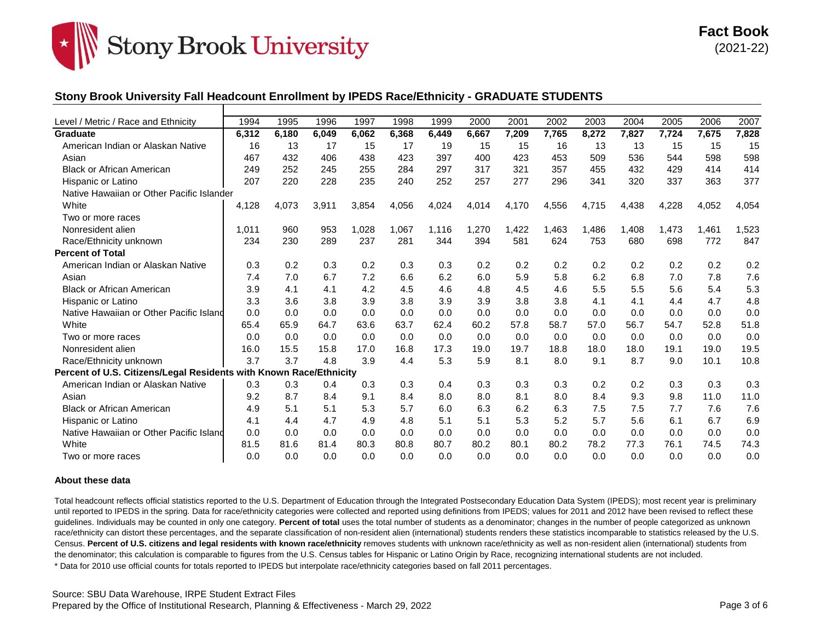

## **Stony Brook University Fall Headcount Enrollment by IPEDS Race/Ethnicity - GRADUATE STUDENTS**

| Level / Metric / Race and Ethnicity                                | 1994  | 1995  | 1996  | 1997  | 1998  | 1999  | 2000  | 2001  | 2002  | 2003  | 2004  | 2005  | 2006  | 2007  |
|--------------------------------------------------------------------|-------|-------|-------|-------|-------|-------|-------|-------|-------|-------|-------|-------|-------|-------|
| <b>Graduate</b>                                                    | 6,312 | 6.180 | 6.049 | 6.062 | 6,368 | 6.449 | 6.667 | 7.209 | 7.765 | 8.272 | 7.827 | 7.724 | 7.675 | 7,828 |
| American Indian or Alaskan Native                                  | 16    | 13    | 17    | 15    | 17    | 19    | 15    | 15    | 16    | 13    | 13    | 15    | 15    | 15    |
| Asian                                                              | 467   | 432   | 406   | 438   | 423   | 397   | 400   | 423   | 453   | 509   | 536   | 544   | 598   | 598   |
| <b>Black or African American</b>                                   | 249   | 252   | 245   | 255   | 284   | 297   | 317   | 321   | 357   | 455   | 432   | 429   | 414   | 414   |
| Hispanic or Latino                                                 | 207   | 220   | 228   | 235   | 240   | 252   | 257   | 277   | 296   | 341   | 320   | 337   | 363   | 377   |
| Native Hawaiian or Other Pacific Islander                          |       |       |       |       |       |       |       |       |       |       |       |       |       |       |
| White                                                              | 4,128 | 4,073 | 3,911 | 3,854 | 4,056 | 4,024 | 4,014 | 4,170 | 4,556 | 4,715 | 4,438 | 4,228 | 4,052 | 4,054 |
| Two or more races                                                  |       |       |       |       |       |       |       |       |       |       |       |       |       |       |
| Nonresident alien                                                  | 1,011 | 960   | 953   | ,028  | 1,067 | 1,116 | 1,270 | 1,422 | ,463  | 1,486 | 1,408 | 1.473 | 1,461 | 1,523 |
| Race/Ethnicity unknown                                             | 234   | 230   | 289   | 237   | 281   | 344   | 394   | 581   | 624   | 753   | 680   | 698   | 772   | 847   |
| <b>Percent of Total</b>                                            |       |       |       |       |       |       |       |       |       |       |       |       |       |       |
| American Indian or Alaskan Native                                  | 0.3   | 0.2   | 0.3   | 0.2   | 0.3   | 0.3   | 0.2   | 0.2   | 0.2   | 0.2   | 0.2   | 0.2   | 0.2   | 0.2   |
| Asian                                                              | 7.4   | 7.0   | 6.7   | 7.2   | 6.6   | 6.2   | 6.0   | 5.9   | 5.8   | 6.2   | 6.8   | 7.0   | 7.8   | 7.6   |
| <b>Black or African American</b>                                   | 3.9   | 4.1   | 4.1   | 4.2   | 4.5   | 4.6   | 4.8   | 4.5   | 4.6   | 5.5   | 5.5   | 5.6   | 5.4   | 5.3   |
| Hispanic or Latino                                                 | 3.3   | 3.6   | 3.8   | 3.9   | 3.8   | 3.9   | 3.9   | 3.8   | 3.8   | 4.1   | 4.1   | 4.4   | 4.7   | 4.8   |
| Native Hawaiian or Other Pacific Island                            | 0.0   | 0.0   | 0.0   | 0.0   | 0.0   | 0.0   | 0.0   | 0.0   | 0.0   | 0.0   | 0.0   | 0.0   | 0.0   | 0.0   |
| White                                                              | 65.4  | 65.9  | 64.7  | 63.6  | 63.7  | 62.4  | 60.2  | 57.8  | 58.7  | 57.0  | 56.7  | 54.7  | 52.8  | 51.8  |
| Two or more races                                                  | 0.0   | 0.0   | 0.0   | 0.0   | 0.0   | 0.0   | 0.0   | 0.0   | 0.0   | 0.0   | 0.0   | 0.0   | 0.0   | 0.0   |
| Nonresident alien                                                  | 16.0  | 15.5  | 15.8  | 17.0  | 16.8  | 17.3  | 19.0  | 19.7  | 18.8  | 18.0  | 18.0  | 19.1  | 19.0  | 19.5  |
| Race/Ethnicity unknown                                             | 3.7   | 3.7   | 4.8   | 3.9   | 4.4   | 5.3   | 5.9   | 8.1   | 8.0   | 9.1   | 8.7   | 9.0   | 10.1  | 10.8  |
| Percent of U.S. Citizens/Legal Residents with Known Race/Ethnicity |       |       |       |       |       |       |       |       |       |       |       |       |       |       |
| American Indian or Alaskan Native                                  | 0.3   | 0.3   | 0.4   | 0.3   | 0.3   | 0.4   | 0.3   | 0.3   | 0.3   | 0.2   | 0.2   | 0.3   | 0.3   | 0.3   |
| Asian                                                              | 9.2   | 8.7   | 8.4   | 9.1   | 8.4   | 8.0   | 8.0   | 8.1   | 8.0   | 8.4   | 9.3   | 9.8   | 11.0  | 11.0  |
| <b>Black or African American</b>                                   | 4.9   | 5.1   | 5.1   | 5.3   | 5.7   | 6.0   | 6.3   | 6.2   | 6.3   | 7.5   | 7.5   | 7.7   | 7.6   | 7.6   |
| Hispanic or Latino                                                 | 4.1   | 4.4   | 4.7   | 4.9   | 4.8   | 5.1   | 5.1   | 5.3   | 5.2   | 5.7   | 5.6   | 6.1   | 6.7   | 6.9   |
| Native Hawaiian or Other Pacific Island                            | 0.0   | 0.0   | 0.0   | 0.0   | 0.0   | 0.0   | 0.0   | 0.0   | 0.0   | 0.0   | 0.0   | 0.0   | 0.0   | 0.0   |
| White                                                              | 81.5  | 81.6  | 81.4  | 80.3  | 80.8  | 80.7  | 80.2  | 80.1  | 80.2  | 78.2  | 77.3  | 76.1  | 74.5  | 74.3  |
| Two or more races                                                  | 0.0   | 0.0   | 0.0   | 0.0   | 0.0   | 0.0   | 0.0   | 0.0   | 0.0   | 0.0   | 0.0   | 0.0   | 0.0   | 0.0   |

#### **About these data**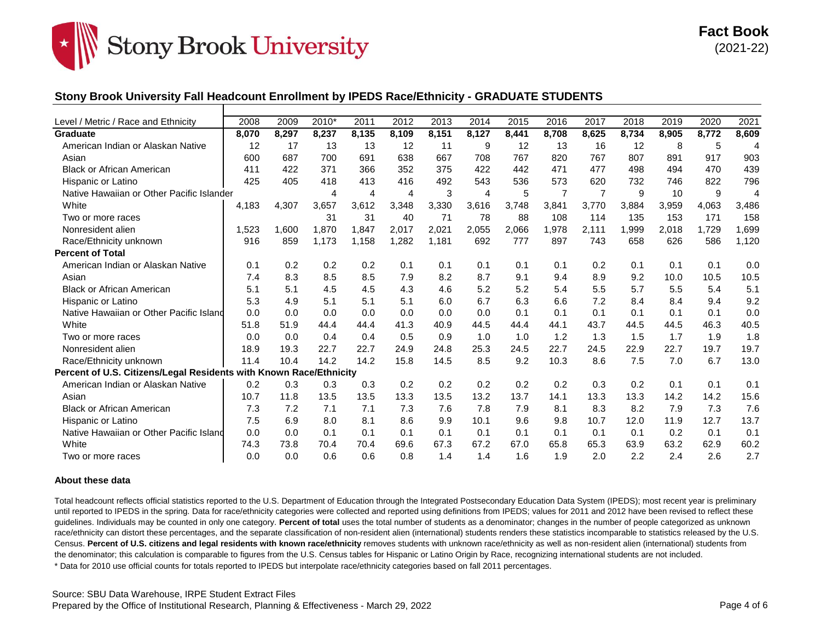

## **Stony Brook University Fall Headcount Enrollment by IPEDS Race/Ethnicity - GRADUATE STUDENTS**

| Level / Metric / Race and Ethnicity                                | 2008  | 2009  | 2010* | 2011  | 2012           | 2013  | 2014  | 2015  | 2016           | 2017           | 2018  | 2019  | 2020  | 2021           |
|--------------------------------------------------------------------|-------|-------|-------|-------|----------------|-------|-------|-------|----------------|----------------|-------|-------|-------|----------------|
| <b>Graduate</b>                                                    | 8.070 | 8.297 | 8,237 | 8,135 | 8,109          | 8.151 | 8.127 | 8,441 | 8.708          | 8.625          | 8.734 | 8.905 | 8,772 | 8,609          |
| American Indian or Alaskan Native                                  | 12    | 17    | 13    | 13    | 12             | 11    | 9     | 12    | 13             | 16             | 12    | 8     | 5     | $\overline{A}$ |
| Asian                                                              | 600   | 687   | 700   | 691   | 638            | 667   | 708   | 767   | 820            | 767            | 807   | 891   | 917   | 903            |
| <b>Black or African American</b>                                   | 411   | 422   | 371   | 366   | 352            | 375   | 422   | 442   | 471            | 477            | 498   | 494   | 470   | 439            |
| Hispanic or Latino                                                 | 425   | 405   | 418   | 413   | 416            | 492   | 543   | 536   | 573            | 620            | 732   | 746   | 822   | 796            |
| Native Hawaiian or Other Pacific Islander                          |       |       | 4     | 4     | $\overline{4}$ | 3     | 4     | 5     | $\overline{7}$ | $\overline{7}$ | 9     | 10    | 9     | $\overline{A}$ |
| White                                                              | 4,183 | 4,307 | 3,657 | 3,612 | 3,348          | 3,330 | 3,616 | 3,748 | 3,841          | 3,770          | 3,884 | 3,959 | 4,063 | 3,486          |
| Two or more races                                                  |       |       | 31    | 31    | 40             | 71    | 78    | 88    | 108            | 114            | 135   | 153   | 171   | 158            |
| Nonresident alien                                                  | 1,523 | 1.600 | 1.870 | 1.847 | 2,017          | 2,021 | 2,055 | 2,066 | 1,978          | 2.111          | 1,999 | 2,018 | 1,729 | 1,699          |
| Race/Ethnicity unknown                                             | 916   | 859   | 1,173 | 1,158 | 1,282          | 1,181 | 692   | 777   | 897            | 743            | 658   | 626   | 586   | 1,120          |
| <b>Percent of Total</b>                                            |       |       |       |       |                |       |       |       |                |                |       |       |       |                |
| American Indian or Alaskan Native                                  | 0.1   | 0.2   | 0.2   | 0.2   | 0.1            | 0.1   | 0.1   | 0.1   | 0.1            | 0.2            | 0.1   | 0.1   | 0.1   | 0.0            |
| Asian                                                              | 7.4   | 8.3   | 8.5   | 8.5   | 7.9            | 8.2   | 8.7   | 9.1   | 9.4            | 8.9            | 9.2   | 10.0  | 10.5  | 10.5           |
| <b>Black or African American</b>                                   | 5.1   | 5.1   | 4.5   | 4.5   | 4.3            | 4.6   | 5.2   | 5.2   | 5.4            | 5.5            | 5.7   | 5.5   | 5.4   | 5.1            |
| Hispanic or Latino                                                 | 5.3   | 4.9   | 5.1   | 5.1   | 5.1            | 6.0   | 6.7   | 6.3   | 6.6            | 7.2            | 8.4   | 8.4   | 9.4   | 9.2            |
| Native Hawaiian or Other Pacific Island                            | 0.0   | 0.0   | 0.0   | 0.0   | 0.0            | 0.0   | 0.0   | 0.1   | 0.1            | 0.1            | 0.1   | 0.1   | 0.1   | 0.0            |
| White                                                              | 51.8  | 51.9  | 44.4  | 44.4  | 41.3           | 40.9  | 44.5  | 44.4  | 44.1           | 43.7           | 44.5  | 44.5  | 46.3  | 40.5           |
| Two or more races                                                  | 0.0   | 0.0   | 0.4   | 0.4   | 0.5            | 0.9   | 1.0   | 1.0   | 1.2            | 1.3            | 1.5   | 1.7   | 1.9   | 1.8            |
| Nonresident alien                                                  | 18.9  | 19.3  | 22.7  | 22.7  | 24.9           | 24.8  | 25.3  | 24.5  | 22.7           | 24.5           | 22.9  | 22.7  | 19.7  | 19.7           |
| Race/Ethnicity unknown                                             | 11.4  | 10.4  | 14.2  | 14.2  | 15.8           | 14.5  | 8.5   | 9.2   | 10.3           | 8.6            | 7.5   | 7.0   | 6.7   | 13.0           |
| Percent of U.S. Citizens/Legal Residents with Known Race/Ethnicity |       |       |       |       |                |       |       |       |                |                |       |       |       |                |
| American Indian or Alaskan Native                                  | 0.2   | 0.3   | 0.3   | 0.3   | 0.2            | 0.2   | 0.2   | 0.2   | 0.2            | 0.3            | 0.2   | 0.1   | 0.1   | 0.1            |
| Asian                                                              | 10.7  | 11.8  | 13.5  | 13.5  | 13.3           | 13.5  | 13.2  | 13.7  | 14.1           | 13.3           | 13.3  | 14.2  | 14.2  | 15.6           |
| <b>Black or African American</b>                                   | 7.3   | 7.2   | 7.1   | 7.1   | 7.3            | 7.6   | 7.8   | 7.9   | 8.1            | 8.3            | 8.2   | 7.9   | 7.3   | 7.6            |
| Hispanic or Latino                                                 | 7.5   | 6.9   | 8.0   | 8.1   | 8.6            | 9.9   | 10.1  | 9.6   | 9.8            | 10.7           | 12.0  | 11.9  | 12.7  | 13.7           |
| Native Hawaiian or Other Pacific Island                            | 0.0   | 0.0   | 0.1   | 0.1   | 0.1            | 0.1   | 0.1   | 0.1   | 0.1            | 0.1            | 0.1   | 0.2   | 0.1   | 0.1            |
| White                                                              | 74.3  | 73.8  | 70.4  | 70.4  | 69.6           | 67.3  | 67.2  | 67.0  | 65.8           | 65.3           | 63.9  | 63.2  | 62.9  | 60.2           |
| Two or more races                                                  | 0.0   | 0.0   | 0.6   | 0.6   | 0.8            | 1.4   | 1.4   | 1.6   | 1.9            | 2.0            | 2.2   | 2.4   | 2.6   | 2.7            |

#### **About these data**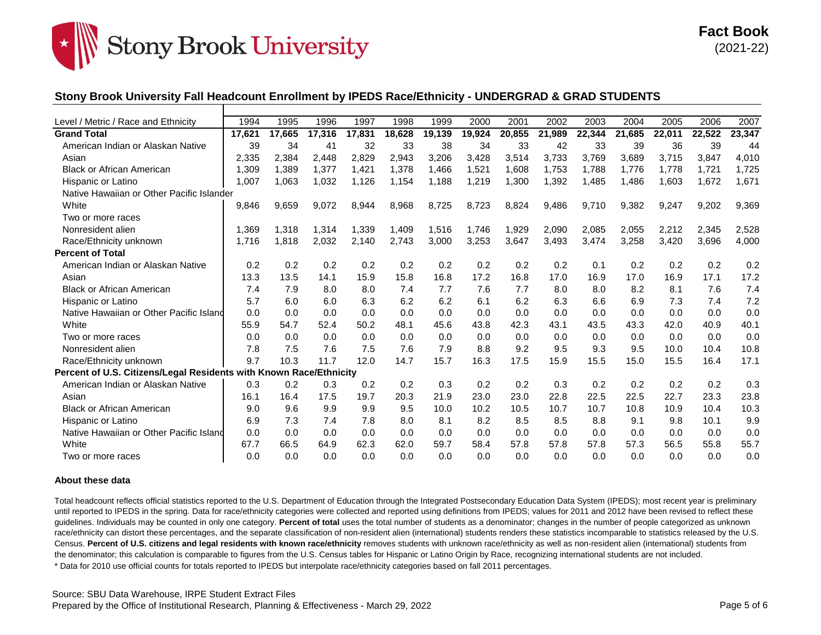

## **Stony Brook University Fall Headcount Enrollment by IPEDS Race/Ethnicity - UNDERGRAD & GRAD STUDENTS**

| Level / Metric / Race and Ethnicity                                | 1994   | 1995   | 1996   | 1997   | 1998   | 1999   | 2000   | 2001   | 2002   | 2003   | 2004   | 2005   | 2006   | 2007   |
|--------------------------------------------------------------------|--------|--------|--------|--------|--------|--------|--------|--------|--------|--------|--------|--------|--------|--------|
| <b>Grand Total</b>                                                 | 17,621 | 17,665 | 17,316 | 17,831 | 18,628 | 19,139 | 19,924 | 20,855 | 21,989 | 22,344 | 21.685 | 22,011 | 22,522 | 23,347 |
| American Indian or Alaskan Native                                  | 39     | 34     | 41     | 32     | 33     | 38     | 34     | 33     | 42     | 33     | 39     | 36     | 39     | 44     |
| Asian                                                              | 2,335  | 2,384  | 2,448  | 2,829  | 2,943  | 3,206  | 3,428  | 3,514  | 3,733  | 3,769  | 3,689  | 3,715  | 3,847  | 4,010  |
| <b>Black or African American</b>                                   | 1.309  | 1,389  | 1,377  | 1,421  | 1,378  | 1,466  | 1,521  | 1,608  | 1,753  | 1,788  | 1,776  | 1,778  | 1,721  | 1,725  |
| Hispanic or Latino                                                 | 1,007  | 1,063  | 1,032  | 1,126  | 1,154  | 1,188  | 1,219  | 1,300  | 1,392  | 1,485  | 1,486  | 1,603  | 1,672  | 1,671  |
| Native Hawaiian or Other Pacific Islander                          |        |        |        |        |        |        |        |        |        |        |        |        |        |        |
| White                                                              | 9,846  | 9,659  | 9,072  | 8,944  | 8,968  | 8,725  | 8,723  | 8,824  | 9,486  | 9,710  | 9,382  | 9,247  | 9,202  | 9,369  |
| Two or more races                                                  |        |        |        |        |        |        |        |        |        |        |        |        |        |        |
| Nonresident alien                                                  | 1.369  | 1.318  | 1,314  | 1,339  | 1,409  | 1,516  | 1.746  | 1,929  | 2,090  | 2,085  | 2,055  | 2,212  | 2,345  | 2,528  |
| Race/Ethnicity unknown                                             | 1,716  | 1,818  | 2,032  | 2,140  | 2,743  | 3,000  | 3,253  | 3,647  | 3,493  | 3,474  | 3,258  | 3,420  | 3,696  | 4,000  |
| <b>Percent of Total</b>                                            |        |        |        |        |        |        |        |        |        |        |        |        |        |        |
| American Indian or Alaskan Native                                  | 0.2    | 0.2    | 0.2    | 0.2    | 0.2    | 0.2    | 0.2    | 0.2    | 0.2    | 0.1    | 0.2    | 0.2    | 0.2    | 0.2    |
| Asian                                                              | 13.3   | 13.5   | 14.1   | 15.9   | 15.8   | 16.8   | 17.2   | 16.8   | 17.0   | 16.9   | 17.0   | 16.9   | 17.1   | 17.2   |
| <b>Black or African American</b>                                   | 7.4    | 7.9    | 8.0    | 8.0    | 7.4    | 7.7    | 7.6    | 7.7    | 8.0    | 8.0    | 8.2    | 8.1    | 7.6    | 7.4    |
| Hispanic or Latino                                                 | 5.7    | 6.0    | 6.0    | 6.3    | 6.2    | 6.2    | 6.1    | 6.2    | 6.3    | 6.6    | 6.9    | 7.3    | 7.4    | 7.2    |
| Native Hawaiian or Other Pacific Island                            | 0.0    | 0.0    | 0.0    | 0.0    | 0.0    | 0.0    | 0.0    | 0.0    | 0.0    | 0.0    | 0.0    | 0.0    | 0.0    | 0.0    |
| White                                                              | 55.9   | 54.7   | 52.4   | 50.2   | 48.1   | 45.6   | 43.8   | 42.3   | 43.1   | 43.5   | 43.3   | 42.0   | 40.9   | 40.1   |
| Two or more races                                                  | 0.0    | 0.0    | 0.0    | 0.0    | 0.0    | 0.0    | 0.0    | 0.0    | 0.0    | 0.0    | 0.0    | 0.0    | 0.0    | 0.0    |
| Nonresident alien                                                  | 7.8    | 7.5    | 7.6    | 7.5    | 7.6    | 7.9    | 8.8    | 9.2    | 9.5    | 9.3    | 9.5    | 10.0   | 10.4   | 10.8   |
| Race/Ethnicity unknown                                             | 9.7    | 10.3   | 11.7   | 12.0   | 14.7   | 15.7   | 16.3   | 17.5   | 15.9   | 15.5   | 15.0   | 15.5   | 16.4   | 17.1   |
| Percent of U.S. Citizens/Legal Residents with Known Race/Ethnicity |        |        |        |        |        |        |        |        |        |        |        |        |        |        |
| American Indian or Alaskan Native                                  | 0.3    | 0.2    | 0.3    | 0.2    | 0.2    | 0.3    | 0.2    | 0.2    | 0.3    | 0.2    | 0.2    | 0.2    | 0.2    | 0.3    |
| Asian                                                              | 16.1   | 16.4   | 17.5   | 19.7   | 20.3   | 21.9   | 23.0   | 23.0   | 22.8   | 22.5   | 22.5   | 22.7   | 23.3   | 23.8   |
| <b>Black or African American</b>                                   | 9.0    | 9.6    | 9.9    | 9.9    | 9.5    | 10.0   | 10.2   | 10.5   | 10.7   | 10.7   | 10.8   | 10.9   | 10.4   | 10.3   |
| Hispanic or Latino                                                 | 6.9    | 7.3    | 7.4    | 7.8    | 8.0    | 8.1    | 8.2    | 8.5    | 8.5    | 8.8    | 9.1    | 9.8    | 10.1   | 9.9    |
| Native Hawaiian or Other Pacific Island                            | 0.0    | 0.0    | 0.0    | 0.0    | 0.0    | 0.0    | 0.0    | 0.0    | 0.0    | 0.0    | 0.0    | 0.0    | 0.0    | 0.0    |
| White                                                              | 67.7   | 66.5   | 64.9   | 62.3   | 62.0   | 59.7   | 58.4   | 57.8   | 57.8   | 57.8   | 57.3   | 56.5   | 55.8   | 55.7   |
| Two or more races                                                  | 0.0    | 0.0    | 0.0    | 0.0    | 0.0    | 0.0    | 0.0    | 0.0    | 0.0    | 0.0    | 0.0    | 0.0    | 0.0    | 0.0    |

#### **About these data**